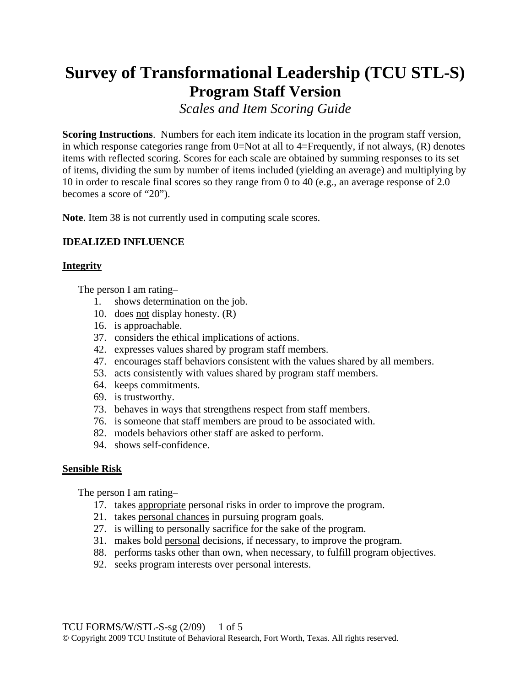# **Survey of Transformational Leadership (TCU STL-S) Program Staff Version**

*Scales and Item Scoring Guide* 

**Scoring Instructions**. Numbers for each item indicate its location in the program staff version, in which response categories range from 0=Not at all to 4=Frequently, if not always, (R) denotes items with reflected scoring. Scores for each scale are obtained by summing responses to its set of items, dividing the sum by number of items included (yielding an average) and multiplying by 10 in order to rescale final scores so they range from 0 to 40 (e.g., an average response of 2.0 becomes a score of "20").

**Note**. Item 38 is not currently used in computing scale scores.

# **IDEALIZED INFLUENCE**

## **Integrity**

The person I am rating–

- 1. shows determination on the job.
- 10. does not display honesty. (R)
- 16. is approachable.
- 37. considers the ethical implications of actions.
- 42. expresses values shared by program staff members.
- 47. encourages staff behaviors consistent with the values shared by all members.
- 53. acts consistently with values shared by program staff members.
- 64. keeps commitments.
- 69. is trustworthy.
- 73. behaves in ways that strengthens respect from staff members.
- 76. is someone that staff members are proud to be associated with.
- 82. models behaviors other staff are asked to perform.
- 94. shows self-confidence.

## **Sensible Risk**

The person I am rating–

- 17. takes appropriate personal risks in order to improve the program.
- 21. takes personal chances in pursuing program goals.
- 27. is willing to personally sacrifice for the sake of the program.
- 31. makes bold personal decisions, if necessary, to improve the program.
- 88. performs tasks other than own, when necessary, to fulfill program objectives.
- 92. seeks program interests over personal interests.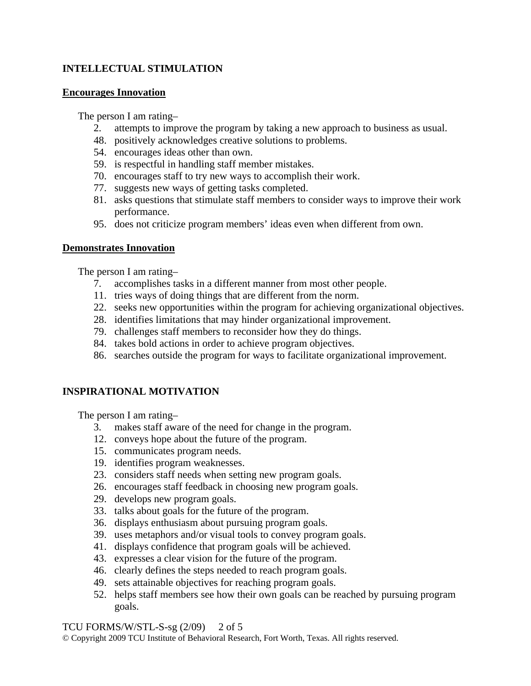# **INTELLECTUAL STIMULATION**

## **Encourages Innovation**

The person I am rating–

- 2. attempts to improve the program by taking a new approach to business as usual.
- 48. positively acknowledges creative solutions to problems.
- 54. encourages ideas other than own.
- 59. is respectful in handling staff member mistakes.
- 70. encourages staff to try new ways to accomplish their work.
- 77. suggests new ways of getting tasks completed.
- 81. asks questions that stimulate staff members to consider ways to improve their work performance.
- 95. does not criticize program members' ideas even when different from own.

## **Demonstrates Innovation**

The person I am rating–

- 7. accomplishes tasks in a different manner from most other people.
- 11. tries ways of doing things that are different from the norm.
- 22. seeks new opportunities within the program for achieving organizational objectives.
- 28. identifies limitations that may hinder organizational improvement.
- 79. challenges staff members to reconsider how they do things.
- 84. takes bold actions in order to achieve program objectives.
- 86. searches outside the program for ways to facilitate organizational improvement.

# **INSPIRATIONAL MOTIVATION**

The person I am rating–

- 3. makes staff aware of the need for change in the program.
- 12. conveys hope about the future of the program.
- 15. communicates program needs.
- 19. identifies program weaknesses.
- 23. considers staff needs when setting new program goals.
- 26. encourages staff feedback in choosing new program goals.
- 29. develops new program goals.
- 33. talks about goals for the future of the program.
- 36. displays enthusiasm about pursuing program goals.
- 39. uses metaphors and/or visual tools to convey program goals.
- 41. displays confidence that program goals will be achieved.
- 43. expresses a clear vision for the future of the program.
- 46. clearly defines the steps needed to reach program goals.
- 49. sets attainable objectives for reaching program goals.
- 52. helps staff members see how their own goals can be reached by pursuing program goals.

#### TCU FORMS/W/STL-S-sg  $(2/09)$  2 of 5

© Copyright 2009 TCU Institute of Behavioral Research, Fort Worth, Texas. All rights reserved.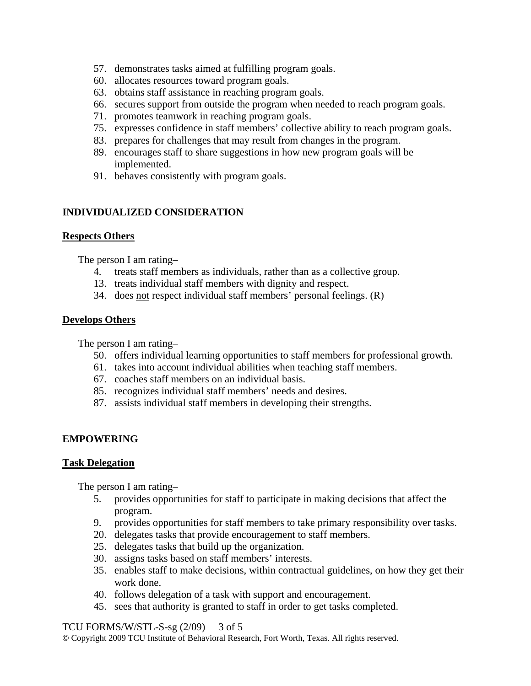- 57. demonstrates tasks aimed at fulfilling program goals.
- 60. allocates resources toward program goals.
- 63. obtains staff assistance in reaching program goals.
- 66. secures support from outside the program when needed to reach program goals.
- 71. promotes teamwork in reaching program goals.
- 75. expresses confidence in staff members' collective ability to reach program goals.
- 83. prepares for challenges that may result from changes in the program.
- 89. encourages staff to share suggestions in how new program goals will be implemented.
- 91. behaves consistently with program goals.

# **INDIVIDUALIZED CONSIDERATION**

## **Respects Others**

The person I am rating–

- 4. treats staff members as individuals, rather than as a collective group.
- 13. treats individual staff members with dignity and respect.
- 34. does not respect individual staff members' personal feelings. (R)

## **Develops Others**

The person I am rating–

- 50. offers individual learning opportunities to staff members for professional growth.
- 61. takes into account individual abilities when teaching staff members.
- 67. coaches staff members on an individual basis.
- 85. recognizes individual staff members' needs and desires.
- 87. assists individual staff members in developing their strengths.

# **EMPOWERING**

## **Task Delegation**

The person I am rating–

- 5. provides opportunities for staff to participate in making decisions that affect the program.
- 9. provides opportunities for staff members to take primary responsibility over tasks.
- 20. delegates tasks that provide encouragement to staff members.
- 25. delegates tasks that build up the organization.
- 30. assigns tasks based on staff members' interests.
- 35. enables staff to make decisions, within contractual guidelines, on how they get their work done.
- 40. follows delegation of a task with support and encouragement.
- 45. sees that authority is granted to staff in order to get tasks completed.

TCU FORMS/W/STL-S-sg $(2/09)$  3 of 5

© Copyright 2009 TCU Institute of Behavioral Research, Fort Worth, Texas. All rights reserved.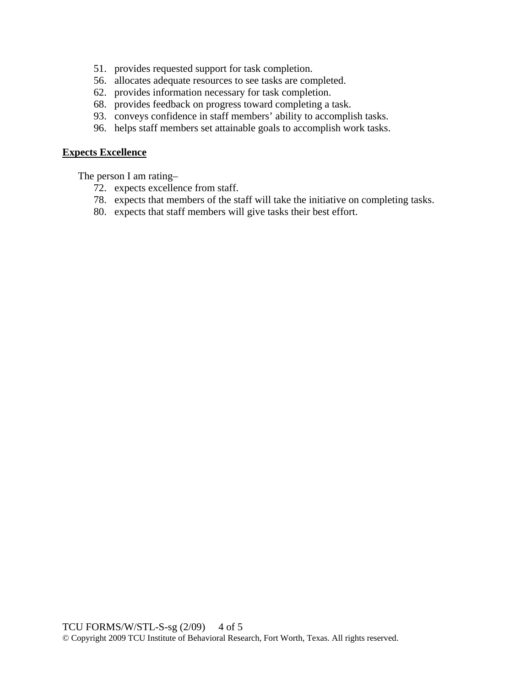- 51. provides requested support for task completion.
- 56. allocates adequate resources to see tasks are completed.
- 62. provides information necessary for task completion.
- 68. provides feedback on progress toward completing a task.
- 93. conveys confidence in staff members' ability to accomplish tasks.
- 96. helps staff members set attainable goals to accomplish work tasks.

#### **Expects Excellence**

The person I am rating–

- 72. expects excellence from staff.
- 78. expects that members of the staff will take the initiative on completing tasks.
- 80. expects that staff members will give tasks their best effort.